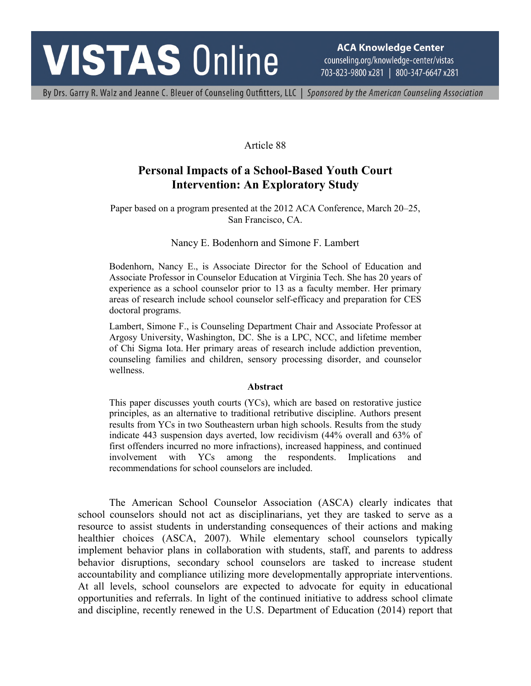# **VISTAS Online**

**ACA Knowledge Center** counseling.org/knowledge-center/vistas 703-823-9800 x281 | 800-347-6647 x281

By Drs. Garry R. Walz and Jeanne C. Bleuer of Counseling Outfitters, LLC | Sponsored by the American Counseling Association

# Article 88

# **Personal Impacts of a School-Based Youth Court Intervention: An Exploratory Study**

Paper based on a program presented at the 2012 ACA Conference, March 20–25, San Francisco, CA.

# Nancy E. Bodenhorn and Simone F. Lambert

Bodenhorn, Nancy E., is Associate Director for the School of Education and Associate Professor in Counselor Education at Virginia Tech. She has 20 years of experience as a school counselor prior to 13 as a faculty member. Her primary areas of research include school counselor self-efficacy and preparation for CES doctoral programs.

Lambert, Simone F., is Counseling Department Chair and Associate Professor at Argosy University, Washington, DC. She is a LPC, NCC, and lifetime member of Chi Sigma Iota. Her primary areas of research include addiction prevention, counseling families and children, sensory processing disorder, and counselor wellness.

#### **Abstract**

This paper discusses youth courts (YCs), which are based on restorative justice principles, as an alternative to traditional retributive discipline. Authors present results from YCs in two Southeastern urban high schools. Results from the study indicate 443 suspension days averted, low recidivism (44% overall and 63% of first offenders incurred no more infractions), increased happiness, and continued involvement with YCs among the respondents. Implications and recommendations for school counselors are included.

The American School Counselor Association (ASCA) clearly indicates that school counselors should not act as disciplinarians, yet they are tasked to serve as a resource to assist students in understanding consequences of their actions and making healthier choices (ASCA, 2007). While elementary school counselors typically implement behavior plans in collaboration with students, staff, and parents to address behavior disruptions, secondary school counselors are tasked to increase student accountability and compliance utilizing more developmentally appropriate interventions. At all levels, school counselors are expected to advocate for equity in educational opportunities and referrals. In light of the continued initiative to address school climate and discipline, recently renewed in the U.S. Department of Education (2014) report that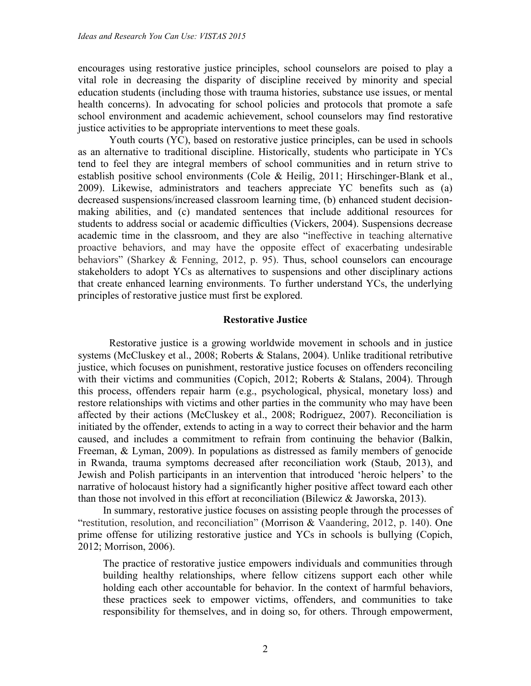encourages using restorative justice principles, school counselors are poised to play a vital role in decreasing the disparity of discipline received by minority and special education students (including those with trauma histories, substance use issues, or mental health concerns). In advocating for school policies and protocols that promote a safe school environment and academic achievement, school counselors may find restorative justice activities to be appropriate interventions to meet these goals.

Youth courts (YC), based on restorative justice principles, can be used in schools as an alternative to traditional discipline. Historically, students who participate in YCs tend to feel they are integral members of school communities and in return strive to establish positive school environments (Cole & Heilig, 2011; Hirschinger-Blank et al., 2009). Likewise, administrators and teachers appreciate YC benefits such as (a) decreased suspensions/increased classroom learning time, (b) enhanced student decisionmaking abilities, and (c) mandated sentences that include additional resources for students to address social or academic difficulties (Vickers, 2004). Suspensions decrease academic time in the classroom, and they are also "ineffective in teaching alternative proactive behaviors, and may have the opposite effect of exacerbating undesirable behaviors" (Sharkey & Fenning, 2012, p. 95). Thus, school counselors can encourage stakeholders to adopt YCs as alternatives to suspensions and other disciplinary actions that create enhanced learning environments. To further understand YCs, the underlying principles of restorative justice must first be explored.

#### **Restorative Justice**

Restorative justice is a growing worldwide movement in schools and in justice systems (McCluskey et al., 2008; Roberts & Stalans, 2004). Unlike traditional retributive justice, which focuses on punishment, restorative justice focuses on offenders reconciling with their victims and communities (Copich, 2012; Roberts & Stalans, 2004). Through this process, offenders repair harm (e.g., psychological, physical, monetary loss) and restore relationships with victims and other parties in the community who may have been affected by their actions (McCluskey et al., 2008; Rodriguez, 2007). Reconciliation is initiated by the offender, extends to acting in a way to correct their behavior and the harm caused, and includes a commitment to refrain from continuing the behavior (Balkin, Freeman, & Lyman, 2009). In populations as distressed as family members of genocide in Rwanda, trauma symptoms decreased after reconciliation work (Staub, 2013), and Jewish and Polish participants in an intervention that introduced 'heroic helpers' to the narrative of holocaust history had a significantly higher positive affect toward each other than those not involved in this effort at reconciliation (Bilewicz & Jaworska, 2013).

In summary, restorative justice focuses on assisting people through the processes of "restitution, resolution, and reconciliation" (Morrison & Vaandering, 2012, p. 140). One prime offense for utilizing restorative justice and YCs in schools is bullying (Copich, 2012; Morrison, 2006).

The practice of restorative justice empowers individuals and communities through building healthy relationships, where fellow citizens support each other while holding each other accountable for behavior. In the context of harmful behaviors, these practices seek to empower victims, offenders, and communities to take responsibility for themselves, and in doing so, for others. Through empowerment,

2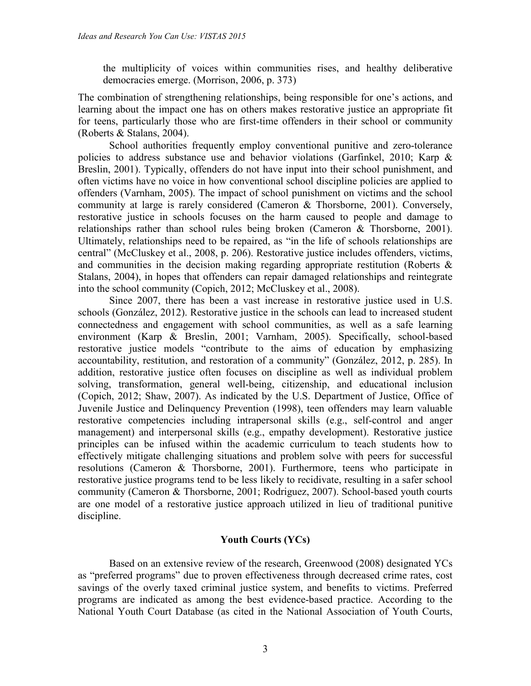the multiplicity of voices within communities rises, and healthy deliberative democracies emerge. (Morrison, 2006, p. 373)

The combination of strengthening relationships, being responsible for one's actions, and learning about the impact one has on others makes restorative justice an appropriate fit for teens, particularly those who are first-time offenders in their school or community (Roberts & Stalans, 2004).

School authorities frequently employ conventional punitive and zero-tolerance policies to address substance use and behavior violations (Garfinkel, 2010; Karp & Breslin, 2001). Typically, offenders do not have input into their school punishment, and often victims have no voice in how conventional school discipline policies are applied to offenders (Varnham, 2005). The impact of school punishment on victims and the school community at large is rarely considered (Cameron & Thorsborne, 2001). Conversely, restorative justice in schools focuses on the harm caused to people and damage to relationships rather than school rules being broken (Cameron & Thorsborne, 2001). Ultimately, relationships need to be repaired, as "in the life of schools relationships are central" (McCluskey et al., 2008, p. 206). Restorative justice includes offenders, victims, and communities in the decision making regarding appropriate restitution (Roberts & Stalans, 2004), in hopes that offenders can repair damaged relationships and reintegrate into the school community (Copich, 2012; McCluskey et al., 2008).

Since 2007, there has been a vast increase in restorative justice used in U.S. schools (González, 2012). Restorative justice in the schools can lead to increased student connectedness and engagement with school communities, as well as a safe learning environment (Karp & Breslin, 2001; Varnham, 2005). Specifically, school-based restorative justice models "contribute to the aims of education by emphasizing accountability, restitution, and restoration of a community" (González, 2012, p. 285). In addition, restorative justice often focuses on discipline as well as individual problem solving, transformation, general well-being, citizenship, and educational inclusion (Copich, 2012; Shaw, 2007). As indicated by the U.S. Department of Justice, Office of Juvenile Justice and Delinquency Prevention (1998), teen offenders may learn valuable restorative competencies including intrapersonal skills (e.g., self-control and anger management) and interpersonal skills (e.g., empathy development). Restorative justice principles can be infused within the academic curriculum to teach students how to effectively mitigate challenging situations and problem solve with peers for successful resolutions (Cameron & Thorsborne, 2001). Furthermore, teens who participate in restorative justice programs tend to be less likely to recidivate, resulting in a safer school community (Cameron & Thorsborne, 2001; Rodriguez, 2007). School-based youth courts are one model of a restorative justice approach utilized in lieu of traditional punitive discipline.

# **Youth Courts (YCs)**

Based on an extensive review of the research, Greenwood (2008) designated YCs as "preferred programs" due to proven effectiveness through decreased crime rates, cost savings of the overly taxed criminal justice system, and benefits to victims. Preferred programs are indicated as among the best evidence-based practice. According to the National Youth Court Database (as cited in the National Association of Youth Courts,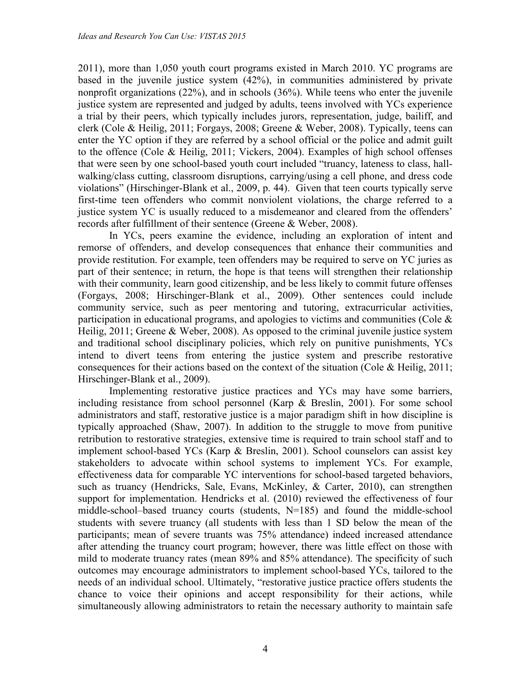2011), more than 1,050 youth court programs existed in March 2010. YC programs are based in the juvenile justice system (42%), in communities administered by private nonprofit organizations (22%), and in schools (36%). While teens who enter the juvenile justice system are represented and judged by adults, teens involved with YCs experience a trial by their peers, which typically includes jurors, representation, judge, bailiff, and clerk (Cole & Heilig, 2011; Forgays, 2008; Greene & Weber, 2008). Typically, teens can enter the YC option if they are referred by a school official or the police and admit guilt to the offence (Cole & Heilig, 2011; Vickers, 2004). Examples of high school offenses that were seen by one school-based youth court included "truancy, lateness to class, hallwalking/class cutting, classroom disruptions, carrying/using a cell phone, and dress code violations" (Hirschinger-Blank et al., 2009, p. 44). Given that teen courts typically serve first-time teen offenders who commit nonviolent violations, the charge referred to a justice system YC is usually reduced to a misdemeanor and cleared from the offenders' records after fulfillment of their sentence (Greene & Weber, 2008).

In YCs, peers examine the evidence, including an exploration of intent and remorse of offenders, and develop consequences that enhance their communities and provide restitution. For example, teen offenders may be required to serve on YC juries as part of their sentence; in return, the hope is that teens will strengthen their relationship with their community, learn good citizenship, and be less likely to commit future offenses (Forgays, 2008; Hirschinger-Blank et al., 2009). Other sentences could include community service, such as peer mentoring and tutoring, extracurricular activities, participation in educational programs, and apologies to victims and communities (Cole & Heilig, 2011; Greene & Weber, 2008). As opposed to the criminal juvenile justice system and traditional school disciplinary policies, which rely on punitive punishments, YCs intend to divert teens from entering the justice system and prescribe restorative consequences for their actions based on the context of the situation (Cole & Heilig, 2011; Hirschinger-Blank et al., 2009).

Implementing restorative justice practices and YCs may have some barriers, including resistance from school personnel (Karp & Breslin, 2001). For some school administrators and staff, restorative justice is a major paradigm shift in how discipline is typically approached (Shaw, 2007). In addition to the struggle to move from punitive retribution to restorative strategies, extensive time is required to train school staff and to implement school-based YCs (Karp & Breslin, 2001). School counselors can assist key stakeholders to advocate within school systems to implement YCs. For example, effectiveness data for comparable YC interventions for school-based targeted behaviors, such as truancy (Hendricks, Sale, Evans, McKinley, & Carter, 2010), can strengthen support for implementation. Hendricks et al. (2010) reviewed the effectiveness of four middle-school–based truancy courts (students, N=185) and found the middle-school students with severe truancy (all students with less than 1 SD below the mean of the participants; mean of severe truants was 75% attendance) indeed increased attendance after attending the truancy court program; however, there was little effect on those with mild to moderate truancy rates (mean 89% and 85% attendance). The specificity of such outcomes may encourage administrators to implement school-based YCs, tailored to the needs of an individual school. Ultimately, "restorative justice practice offers students the chance to voice their opinions and accept responsibility for their actions, while simultaneously allowing administrators to retain the necessary authority to maintain safe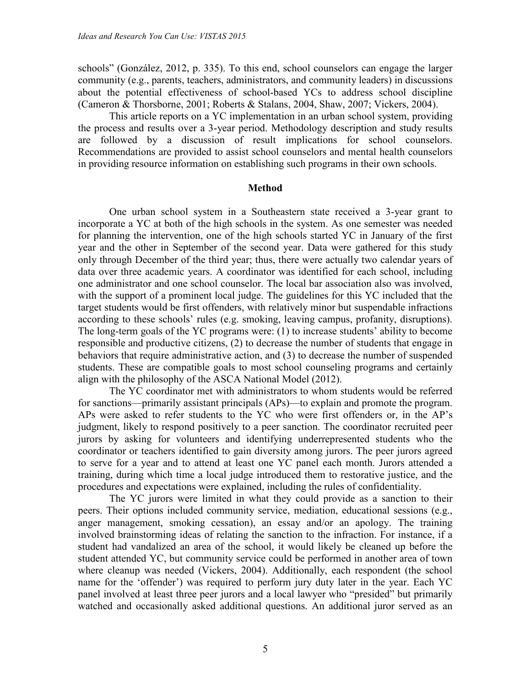schools" (González, 2012, p. 335). To this end, school counselors can engage the larger community (e.g., parents, teachers, administrators, and community leaders) in discussions about the potential effectiveness of school-based YCs to address school discipline (Cameron & Thorsborne, 2001; Roberts & Stalans, 2004, Shaw, 2007; Vickers, 2004).

This article reports on a YC implementation in an urban school system, providing the process and results over a 3-year period. Methodology description and study results are followed by a discussion of result implications for school counselors. Recommendations are provided to assist school counselors and mental health counselors in providing resource information on establishing such programs in their own schools.

#### **Method**

One urban school system in a Southeastern state received a 3-year grant to incorporate a YC at both of the high schools in the system. As one semester was needed for planning the intervention, one of the high schools started YC in January of the first year and the other in September of the second year. Data were gathered for this study only through December of the third year; thus, there were actually two calendar years of data over three academic years. A coordinator was identified for each school, including one administrator and one school counselor. The local bar association also was involved, with the support of a prominent local judge. The guidelines for this YC included that the target students would be first offenders, with relatively minor but suspendable infractions according to these schools' rules (e.g. smoking, leaving campus, profanity, disruptions). The long-term goals of the YC programs were: (1) to increase students' ability to become responsible and productive citizens, (2) to decrease the number of students that engage in behaviors that require administrative action, and (3) to decrease the number of suspended students. These are compatible goals to most school counseling programs and certainly align with the philosophy of the ASCA National Model (2012).

The YC coordinator met with administrators to whom students would be referred for sanctions—primarily assistant principals (APs)—to explain and promote the program. APs were asked to refer students to the YC who were first offenders or, in the AP's judgment, likely to respond positively to a peer sanction. The coordinator recruited peer jurors by asking for volunteers and identifying underrepresented students who the coordinator or teachers identified to gain diversity among jurors. The peer jurors agreed to serve for a year and to attend at least one YC panel each month. Jurors attended a training, during which time a local judge introduced them to restorative justice, and the procedures and expectations were explained, including the rules of confidentiality.

The YC jurors were limited in what they could provide as a sanction to their peers. Their options included community service, mediation, educational sessions (e.g., anger management, smoking cessation), an essay and/or an apology. The training involved brainstorming ideas of relating the sanction to the infraction. For instance, if a student had vandalized an area of the school, it would likely be cleaned up before the student attended YC, but community service could be performed in another area of town where cleanup was needed (Vickers, 2004). Additionally, each respondent (the school name for the 'offender') was required to perform jury duty later in the year. Each YC panel involved at least three peer jurors and a local lawyer who "presided" but primarily watched and occasionally asked additional questions. An additional juror served as an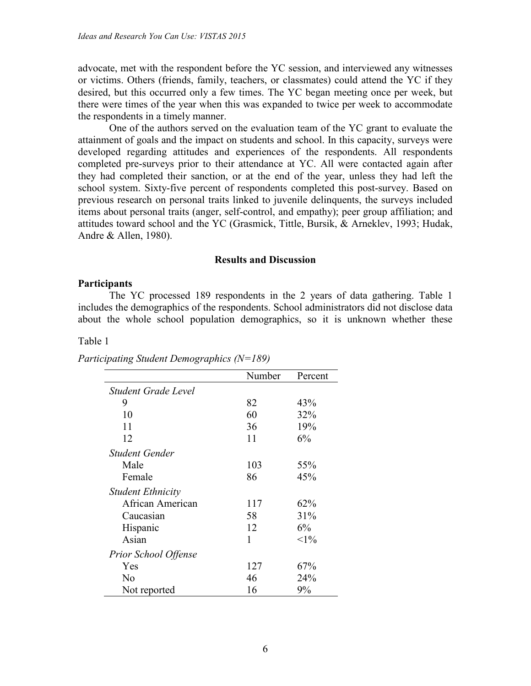advocate, met with the respondent before the YC session, and interviewed any witnesses or victims. Others (friends, family, teachers, or classmates) could attend the YC if they desired, but this occurred only a few times. The YC began meeting once per week, but there were times of the year when this was expanded to twice per week to accommodate the respondents in a timely manner.

One of the authors served on the evaluation team of the YC grant to evaluate the attainment of goals and the impact on students and school. In this capacity, surveys were developed regarding attitudes and experiences of the respondents. All respondents completed pre-surveys prior to their attendance at YC. All were contacted again after they had completed their sanction, or at the end of the year, unless they had left the school system. Sixty-five percent of respondents completed this post-survey. Based on previous research on personal traits linked to juvenile delinquents, the surveys included items about personal traits (anger, self-control, and empathy); peer group affiliation; and attitudes toward school and the YC (Grasmick, Tittle, Bursik, & Arneklev, 1993; Hudak, Andre & Allen, 1980).

#### **Results and Discussion**

#### **Participants**

The YC processed 189 respondents in the 2 years of data gathering. Table 1 includes the demographics of the respondents. School administrators did not disclose data about the whole school population demographics, so it is unknown whether these

#### Table 1

|                             | Number | Percent |
|-----------------------------|--------|---------|
| Student Grade Level         |        |         |
| 9                           | 82     | 43%     |
| 10                          | 60     | 32%     |
| 11                          | 36     | 19%     |
| 12                          | 11     | 6%      |
| Student Gender              |        |         |
| Male                        | 103    | 55%     |
| Female                      | 86     | 45%     |
| <b>Student Ethnicity</b>    |        |         |
| African American            | 117    | 62%     |
| Caucasian                   | 58     | 31%     |
| Hispanic                    | 12     | 6%      |
| Asian                       | 1      | $<1\%$  |
| <b>Prior School Offense</b> |        |         |
| Yes                         | 127    | 67%     |
| No                          | 46     | 24%     |
| Not reported                | 16     | 9%      |

*Participating Student Demographics (N=189)*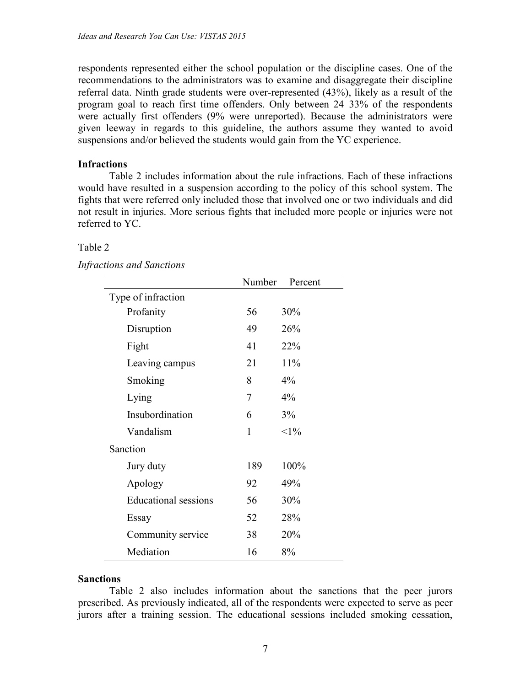respondents represented either the school population or the discipline cases. One of the recommendations to the administrators was to examine and disaggregate their discipline referral data. Ninth grade students were over-represented (43%), likely as a result of the program goal to reach first time offenders. Only between 24–33% of the respondents were actually first offenders (9% were unreported). Because the administrators were given leeway in regards to this guideline, the authors assume they wanted to avoid suspensions and/or believed the students would gain from the YC experience.

# **Infractions**

Table 2 includes information about the rule infractions. Each of these infractions would have resulted in a suspension according to the policy of this school system. The fights that were referred only included those that involved one or two individuals and did not result in injuries. More serious fights that included more people or injuries were not referred to YC.

# Table 2

|  | <b>Infractions and Sanctions</b> |  |  |
|--|----------------------------------|--|--|
|--|----------------------------------|--|--|

|                             | Number | Percent  |
|-----------------------------|--------|----------|
| Type of infraction          |        |          |
| Profanity                   | 56     | 30%      |
| Disruption                  | 49     | 26%      |
| Fight                       | 41     | 22%      |
| Leaving campus              | 21     | 11%      |
| Smoking                     | 8      | $4\%$    |
| Lying                       | 7      | $4\%$    |
| Insubordination             | 6      | 3%       |
| Vandalism                   | 1      | ${<}1\%$ |
| Sanction                    |        |          |
| Jury duty                   | 189    | 100%     |
| Apology                     | 92     | 49%      |
| <b>Educational sessions</b> | 56     | 30%      |
| Essay                       | 52     | 28%      |
| Community service           | 38     | 20%      |
| Mediation                   | 16     | 8%       |

### **Sanctions**

Table 2 also includes information about the sanctions that the peer jurors prescribed. As previously indicated, all of the respondents were expected to serve as peer jurors after a training session. The educational sessions included smoking cessation,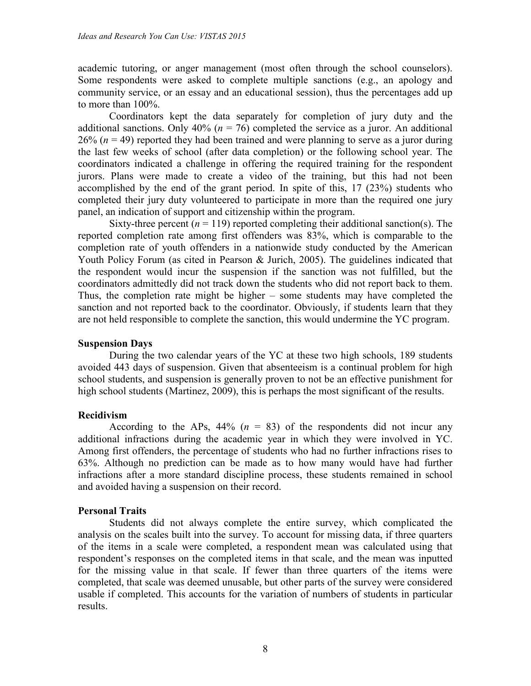academic tutoring, or anger management (most often through the school counselors). Some respondents were asked to complete multiple sanctions (e.g., an apology and community service, or an essay and an educational session), thus the percentages add up to more than 100%.

Coordinators kept the data separately for completion of jury duty and the additional sanctions. Only  $40\%$  ( $n = 76$ ) completed the service as a juror. An additional  $26\%$  ( $n = 49$ ) reported they had been trained and were planning to serve as a juror during the last few weeks of school (after data completion) or the following school year. The coordinators indicated a challenge in offering the required training for the respondent jurors. Plans were made to create a video of the training, but this had not been accomplished by the end of the grant period. In spite of this, 17 (23%) students who completed their jury duty volunteered to participate in more than the required one jury panel, an indication of support and citizenship within the program.

Sixty-three percent  $(n = 119)$  reported completing their additional sanction(s). The reported completion rate among first offenders was 83%, which is comparable to the completion rate of youth offenders in a nationwide study conducted by the American Youth Policy Forum (as cited in Pearson & Jurich, 2005). The guidelines indicated that the respondent would incur the suspension if the sanction was not fulfilled, but the coordinators admittedly did not track down the students who did not report back to them. Thus, the completion rate might be higher – some students may have completed the sanction and not reported back to the coordinator. Obviously, if students learn that they are not held responsible to complete the sanction, this would undermine the YC program.

# **Suspension Days**

During the two calendar years of the YC at these two high schools, 189 students avoided 443 days of suspension. Given that absenteeism is a continual problem for high school students, and suspension is generally proven to not be an effective punishment for high school students (Martinez, 2009), this is perhaps the most significant of the results.

# **Recidivism**

According to the APs,  $44\%$  ( $n = 83$ ) of the respondents did not incur any additional infractions during the academic year in which they were involved in YC. Among first offenders, the percentage of students who had no further infractions rises to 63%. Although no prediction can be made as to how many would have had further infractions after a more standard discipline process, these students remained in school and avoided having a suspension on their record.

# **Personal Traits**

Students did not always complete the entire survey, which complicated the analysis on the scales built into the survey. To account for missing data, if three quarters of the items in a scale were completed, a respondent mean was calculated using that respondent's responses on the completed items in that scale, and the mean was inputted for the missing value in that scale. If fewer than three quarters of the items were completed, that scale was deemed unusable, but other parts of the survey were considered usable if completed. This accounts for the variation of numbers of students in particular results.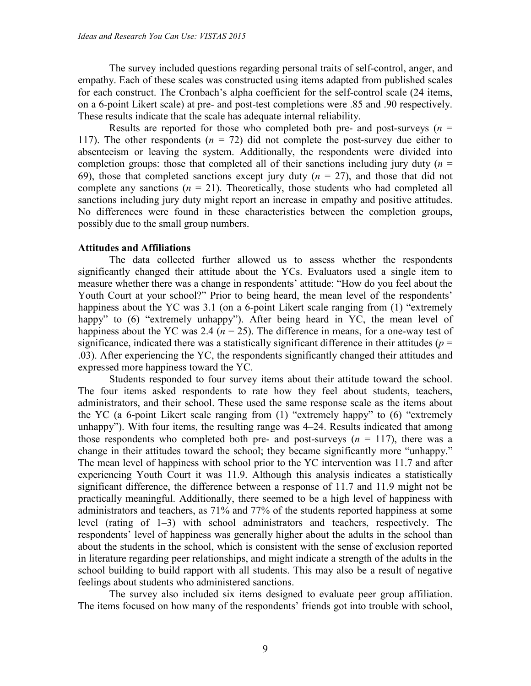The survey included questions regarding personal traits of self-control, anger, and empathy. Each of these scales was constructed using items adapted from published scales for each construct. The Cronbach's alpha coefficient for the self-control scale (24 items, on a 6-point Likert scale) at pre- and post-test completions were .85 and .90 respectively. These results indicate that the scale has adequate internal reliability.

Results are reported for those who completed both pre- and post-surveys  $(n =$ 117). The other respondents  $(n = 72)$  did not complete the post-survey due either to absenteeism or leaving the system. Additionally, the respondents were divided into completion groups: those that completed all of their sanctions including jury duty  $(n =$ 69), those that completed sanctions except jury duty  $(n = 27)$ , and those that did not complete any sanctions  $(n = 21)$ . Theoretically, those students who had completed all sanctions including jury duty might report an increase in empathy and positive attitudes. No differences were found in these characteristics between the completion groups, possibly due to the small group numbers.

### **Attitudes and Affiliations**

The data collected further allowed us to assess whether the respondents significantly changed their attitude about the YCs. Evaluators used a single item to measure whether there was a change in respondents' attitude: "How do you feel about the Youth Court at your school?" Prior to being heard, the mean level of the respondents' happiness about the YC was 3.1 (on a 6-point Likert scale ranging from (1) "extremely happy" to  $(6)$  "extremely unhappy"). After being heard in YC, the mean level of happiness about the YC was 2.4 ( $n = 25$ ). The difference in means, for a one-way test of significance, indicated there was a statistically significant difference in their attitudes ( $p =$ .03). After experiencing the YC, the respondents significantly changed their attitudes and expressed more happiness toward the YC.

Students responded to four survey items about their attitude toward the school. The four items asked respondents to rate how they feel about students, teachers, administrators, and their school. These used the same response scale as the items about the YC (a 6-point Likert scale ranging from (1) "extremely happy" to (6) "extremely unhappy"). With four items, the resulting range was 4–24. Results indicated that among those respondents who completed both pre- and post-surveys  $(n = 117)$ , there was a change in their attitudes toward the school; they became significantly more "unhappy." The mean level of happiness with school prior to the YC intervention was 11.7 and after experiencing Youth Court it was 11.9. Although this analysis indicates a statistically significant difference, the difference between a response of 11.7 and 11.9 might not be practically meaningful. Additionally, there seemed to be a high level of happiness with administrators and teachers, as 71% and 77% of the students reported happiness at some level (rating of 1–3) with school administrators and teachers, respectively. The respondents' level of happiness was generally higher about the adults in the school than about the students in the school, which is consistent with the sense of exclusion reported in literature regarding peer relationships, and might indicate a strength of the adults in the school building to build rapport with all students. This may also be a result of negative feelings about students who administered sanctions.

The survey also included six items designed to evaluate peer group affiliation. The items focused on how many of the respondents' friends got into trouble with school,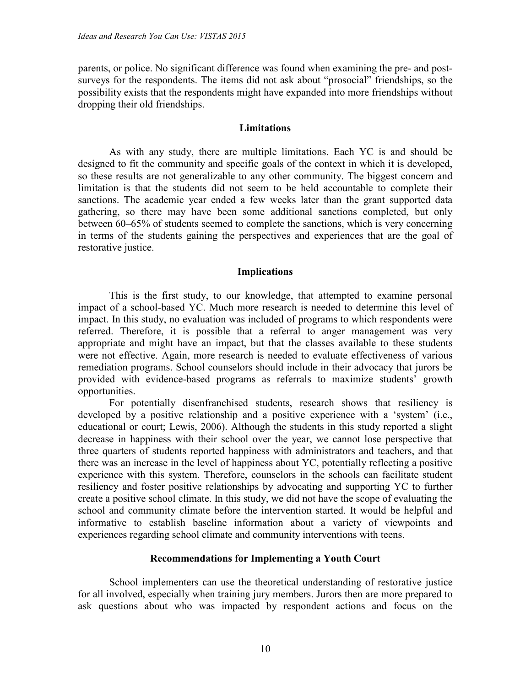parents, or police. No significant difference was found when examining the pre- and postsurveys for the respondents. The items did not ask about "prosocial" friendships, so the possibility exists that the respondents might have expanded into more friendships without dropping their old friendships.

#### **Limitations**

As with any study, there are multiple limitations. Each YC is and should be designed to fit the community and specific goals of the context in which it is developed, so these results are not generalizable to any other community. The biggest concern and limitation is that the students did not seem to be held accountable to complete their sanctions. The academic year ended a few weeks later than the grant supported data gathering, so there may have been some additional sanctions completed, but only between 60–65% of students seemed to complete the sanctions, which is very concerning in terms of the students gaining the perspectives and experiences that are the goal of restorative justice.

#### **Implications**

This is the first study, to our knowledge, that attempted to examine personal impact of a school-based YC. Much more research is needed to determine this level of impact. In this study, no evaluation was included of programs to which respondents were referred. Therefore, it is possible that a referral to anger management was very appropriate and might have an impact, but that the classes available to these students were not effective. Again, more research is needed to evaluate effectiveness of various remediation programs. School counselors should include in their advocacy that jurors be provided with evidence-based programs as referrals to maximize students' growth opportunities.

For potentially disenfranchised students, research shows that resiliency is developed by a positive relationship and a positive experience with a 'system' (i.e., educational or court; Lewis, 2006). Although the students in this study reported a slight decrease in happiness with their school over the year, we cannot lose perspective that three quarters of students reported happiness with administrators and teachers, and that there was an increase in the level of happiness about YC, potentially reflecting a positive experience with this system. Therefore, counselors in the schools can facilitate student resiliency and foster positive relationships by advocating and supporting YC to further create a positive school climate. In this study, we did not have the scope of evaluating the school and community climate before the intervention started. It would be helpful and informative to establish baseline information about a variety of viewpoints and experiences regarding school climate and community interventions with teens.

#### **Recommendations for Implementing a Youth Court**

School implementers can use the theoretical understanding of restorative justice for all involved, especially when training jury members. Jurors then are more prepared to ask questions about who was impacted by respondent actions and focus on the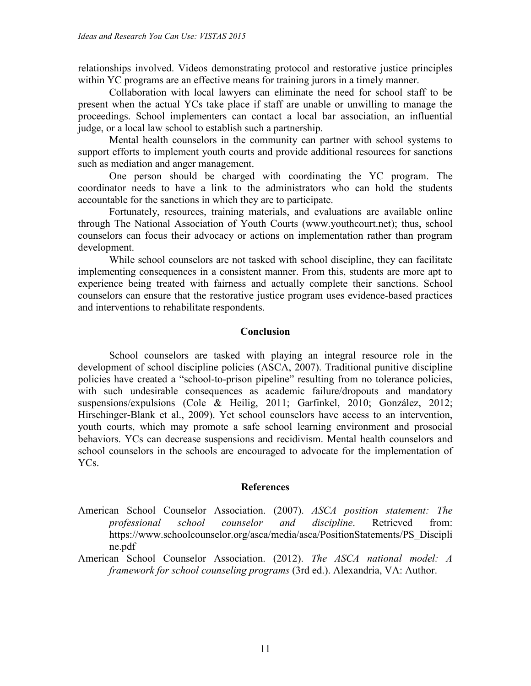relationships involved. Videos demonstrating protocol and restorative justice principles within YC programs are an effective means for training jurors in a timely manner.

Collaboration with local lawyers can eliminate the need for school staff to be present when the actual YCs take place if staff are unable or unwilling to manage the proceedings. School implementers can contact a local bar association, an influential judge, or a local law school to establish such a partnership.

Mental health counselors in the community can partner with school systems to support efforts to implement youth courts and provide additional resources for sanctions such as mediation and anger management.

One person should be charged with coordinating the YC program. The coordinator needs to have a link to the administrators who can hold the students accountable for the sanctions in which they are to participate.

Fortunately, resources, training materials, and evaluations are available online through The National Association of Youth Courts (www.youthcourt.net); thus, school counselors can focus their advocacy or actions on implementation rather than program development.

While school counselors are not tasked with school discipline, they can facilitate implementing consequences in a consistent manner. From this, students are more apt to experience being treated with fairness and actually complete their sanctions. School counselors can ensure that the restorative justice program uses evidence-based practices and interventions to rehabilitate respondents.

# **Conclusion**

School counselors are tasked with playing an integral resource role in the development of school discipline policies (ASCA, 2007). Traditional punitive discipline policies have created a "school-to-prison pipeline" resulting from no tolerance policies, with such undesirable consequences as academic failure/dropouts and mandatory suspensions/expulsions (Cole & Heilig, 2011; Garfinkel, 2010; González, 2012; Hirschinger-Blank et al., 2009). Yet school counselors have access to an intervention, youth courts, which may promote a safe school learning environment and prosocial behaviors. YCs can decrease suspensions and recidivism. Mental health counselors and school counselors in the schools are encouraged to advocate for the implementation of YC<sub>s</sub>.

# **References**

- American School Counselor Association. (2007). *ASCA position statement: The professional school counselor and discipline*. Retrieved from: https://www.schoolcounselor.org/asca/media/asca/PositionStatements/PS\_Discipli ne.pdf
- American School Counselor Association. (2012). *The ASCA national model: A framework for school counseling programs* (3rd ed.). Alexandria, VA: Author.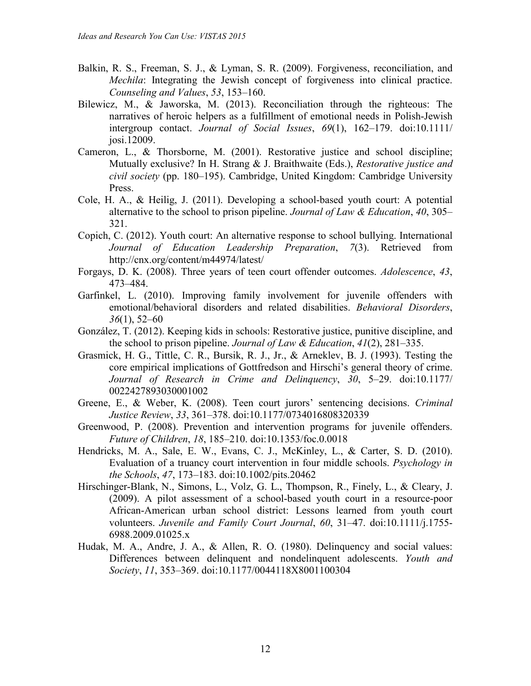- Balkin, R. S., Freeman, S. J., & Lyman, S. R. (2009). Forgiveness, reconciliation, and *Mechila*: Integrating the Jewish concept of forgiveness into clinical practice. *Counseling and Values*, *53*, 153–160.
- Bilewicz, M., & Jaworska, M. (2013). Reconciliation through the righteous: The narratives of heroic helpers as a fulfillment of emotional needs in Polish-Jewish intergroup contact. *Journal of Social Issues*, *69*(1), 162–179. doi:10.1111/ josi.12009.
- Cameron, L., & Thorsborne, M. (2001). Restorative justice and school discipline; Mutually exclusive? In H. Strang & J. Braithwaite (Eds.), *Restorative justice and civil society* (pp. 180–195). Cambridge, United Kingdom: Cambridge University Press.
- Cole, H. A., & Heilig, J. (2011). Developing a school-based youth court: A potential alternative to the school to prison pipeline. *Journal of Law & Education*, *40*, 305– 321.
- Copich, C. (2012). Youth court: An alternative response to school bullying. International *Journal of Education Leadership Preparation*, *7*(3). Retrieved from http://cnx.org/content/m44974/latest/
- Forgays, D. K. (2008). Three years of teen court offender outcomes. *Adolescence*, *43*, 473–484.
- Garfinkel, L. (2010). Improving family involvement for juvenile offenders with emotional/behavioral disorders and related disabilities. *Behavioral Disorders*, *36*(1), 52–60
- González, T. (2012). Keeping kids in schools: Restorative justice, punitive discipline, and the school to prison pipeline. *Journal of Law & Education*, *41*(2), 281–335.
- Grasmick, H. G., Tittle, C. R., Bursik, R. J., Jr., & Arneklev, B. J. (1993). Testing the core empirical implications of Gottfredson and Hirschi's general theory of crime. *Journal of Research in Crime and Delinquency*, *30*, 5–29. doi:10.1177/ 0022427893030001002
- Greene, E., & Weber, K. (2008). Teen court jurors' sentencing decisions. *Criminal Justice Review*, *33*, 361–378. doi:10.1177/0734016808320339
- Greenwood, P. (2008). Prevention and intervention programs for juvenile offenders. *Future of Children*, *18*, 185–210. doi:10.1353/foc.0.0018
- Hendricks, M. A., Sale, E. W., Evans, C. J., McKinley, L., & Carter, S. D. (2010). Evaluation of a truancy court intervention in four middle schools. *Psychology in the Schools*, *47*, 173–183. doi:10.1002/pits.20462
- Hirschinger-Blank, N., Simons, L., Volz, G. L., Thompson, R., Finely, L., & Cleary, J. (2009). A pilot assessment of a school-based youth court in a resource-poor African-American urban school district: Lessons learned from youth court volunteers. *Juvenile and Family Court Journal*, *60*, 31–47. doi:10.1111/j.1755- 6988.2009.01025.x
- Hudak, M. A., Andre, J. A., & Allen, R. O. (1980). Delinquency and social values: Differences between delinquent and nondelinquent adolescents. *Youth and Society*, *11*, 353–369. doi:10.1177/0044118X8001100304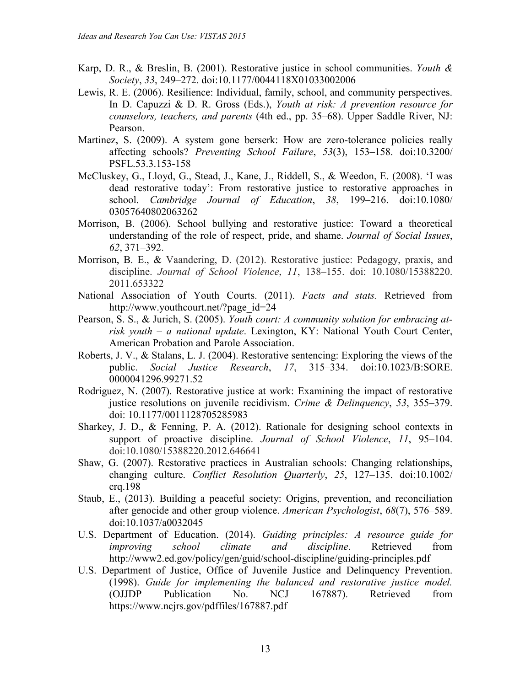- Karp, D. R., & Breslin, B. (2001). Restorative justice in school communities. *Youth & Society*, *33*, 249–272. doi:10.1177/0044118X01033002006
- Lewis, R. E. (2006). Resilience: Individual, family, school, and community perspectives. In D. Capuzzi & D. R. Gross (Eds.), *Youth at risk: A prevention resource for counselors, teachers, and parents* (4th ed., pp. 35–68). Upper Saddle River, NJ: Pearson.
- Martinez, S. (2009). A system gone berserk: How are zero-tolerance policies really affecting schools? *Preventing School Failure*, *53*(3), 153–158. doi:10.3200/ PSFL.53.3.153-158
- McCluskey, G., Lloyd, G., Stead, J., Kane, J., Riddell, S., & Weedon, E. (2008). 'I was dead restorative today': From restorative justice to restorative approaches in school. *Cambridge Journal of Education*, *38*, 199–216. doi:10.1080/ 03057640802063262
- Morrison, B. (2006). School bullying and restorative justice: Toward a theoretical understanding of the role of respect, pride, and shame. *Journal of Social Issues*, *62*, 371–392.
- Morrison, B. E., & Vaandering, D. (2012). Restorative justice: Pedagogy, praxis, and discipline. *Journal of School Violence*, *11*, 138–155. doi: 10.1080/15388220. 2011.653322
- National Association of Youth Courts. (2011). *Facts and stats.* Retrieved from http://www.youthcourt.net/?page\_id=24
- Pearson, S. S., & Jurich, S. (2005). *Youth court: A community solution for embracing atrisk youth – a national update*. Lexington, KY: National Youth Court Center, American Probation and Parole Association.
- Roberts, J. V., & Stalans, L. J. (2004). Restorative sentencing: Exploring the views of the public. *Social Justice Research*, *17*, 315–334. doi:10.1023/B:SORE. 0000041296.99271.52
- Rodriguez, N. (2007). Restorative justice at work: Examining the impact of restorative justice resolutions on juvenile recidivism. *Crime & Delinquency*, *53*, 355–379. doi: 10.1177/0011128705285983
- Sharkey, J. D., & Fenning, P. A. (2012). Rationale for designing school contexts in support of proactive discipline. *Journal of School Violence*, *11*, 95–104. doi:10.1080/15388220.2012.646641
- Shaw, G. (2007). Restorative practices in Australian schools: Changing relationships, changing culture. *Conflict Resolution Quarterly*, *25*, 127–135. doi:10.1002/ crq.198
- Staub, E., (2013). Building a peaceful society: Origins, prevention, and reconciliation after genocide and other group violence. *American Psychologist*, *68*(7), 576–589. doi:10.1037/a0032045
- U.S. Department of Education. (2014). *Guiding principles: A resource guide for improving school climate and discipline*. Retrieved from http://www2.ed.gov/policy/gen/guid/school-discipline/guiding-principles.pdf
- U.S. Department of Justice, Office of Juvenile Justice and Delinquency Prevention. (1998). *Guide for implementing the balanced and restorative justice model.* (OJJDP Publication No. NCJ 167887). Retrieved from https://www.ncjrs.gov/pdffiles/167887.pdf